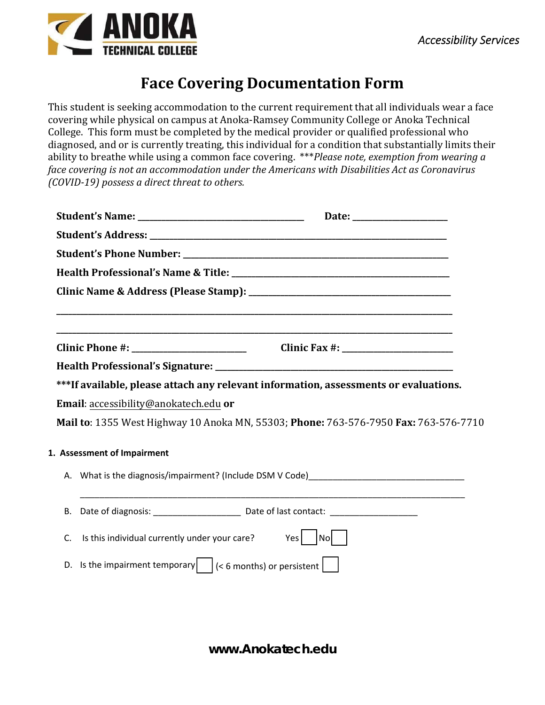## **Face Covering Documentation Form**

This student is seeking accommodation to the current requirement that all individuals wear a face covering while physical on campus at Anoka-Ramsey Community College or Anoka Technical College. This form must be completed by the medical provider or qualified professional who diagnosed, and or is currently treating, this individual for a condition that substantially limits their ability to breathe while using a common face covering. \*\*\**Please note, exemption from wearing a face covering is not an accommodation under the Americans with Disabilities Act as Coronavirus (COVID‐19) possess a direct threat to others.*

|    |                                                                                       | ***If available, please attach any relevant information, assessments or evaluations. |  |  |  |  |  |
|----|---------------------------------------------------------------------------------------|--------------------------------------------------------------------------------------|--|--|--|--|--|
|    | Email: accessibility@anokatech.edu or                                                 |                                                                                      |  |  |  |  |  |
|    |                                                                                       | Mail to: 1355 West Highway 10 Anoka MN, 55303; Phone: 763-576-7950 Fax: 763-576-7710 |  |  |  |  |  |
|    | 1. Assessment of Impairment                                                           |                                                                                      |  |  |  |  |  |
|    |                                                                                       |                                                                                      |  |  |  |  |  |
|    |                                                                                       |                                                                                      |  |  |  |  |  |
| В. |                                                                                       |                                                                                      |  |  |  |  |  |
| C. | Is this individual currently under your care?                                         | Yes<br>Nol                                                                           |  |  |  |  |  |
|    | D. Is the impairment temporary $\vert \vert$ (< 6 months) or persistent $\vert \vert$ |                                                                                      |  |  |  |  |  |
|    |                                                                                       |                                                                                      |  |  |  |  |  |

**www.Anokatech.edu**